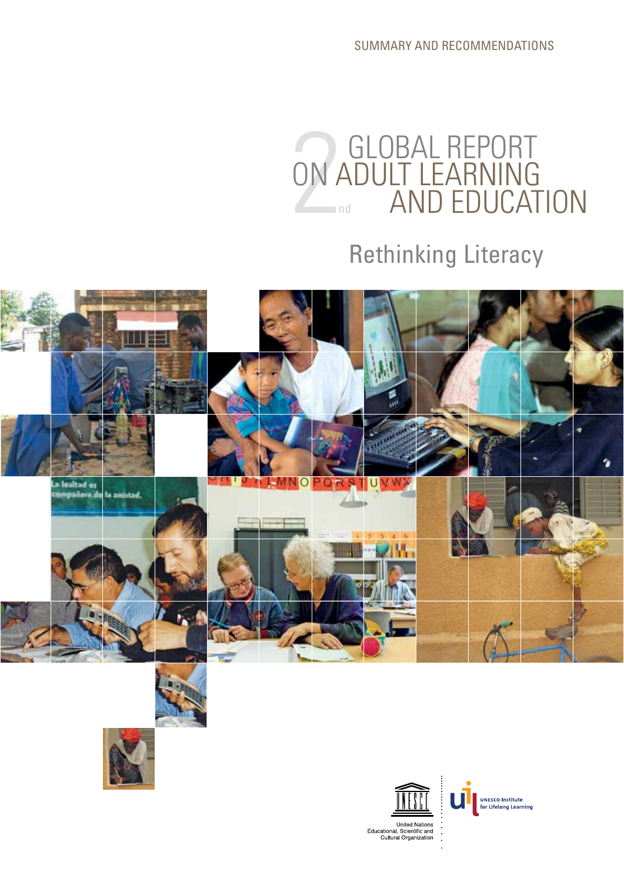SUMMARY AND RECOMMENDATIONS



## Rethinking Literacy









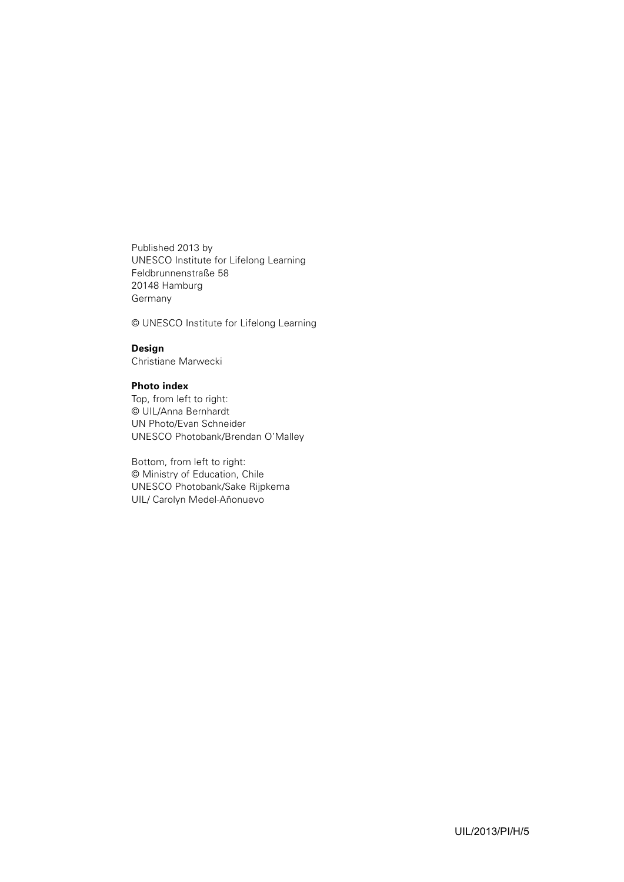Published 2013 by UNESCO Institute for Lifelong Learning Feldbrunnenstraße 58 20148 Hamburg Germany

© UNESCO Institute for Lifelong Learning

#### **Design**

Christiane Marwecki

### **Photo index**

Top, from left to right: © UIL/Anna Bernhardt UN Photo/Evan Schneider UNESCO Photobank/Brendan O'Malley

Bottom, from left to right: © Ministry of Education, Chile UNESCO Photobank/Sake Rijpkema UIL/ Carolyn Medel-Añonuevo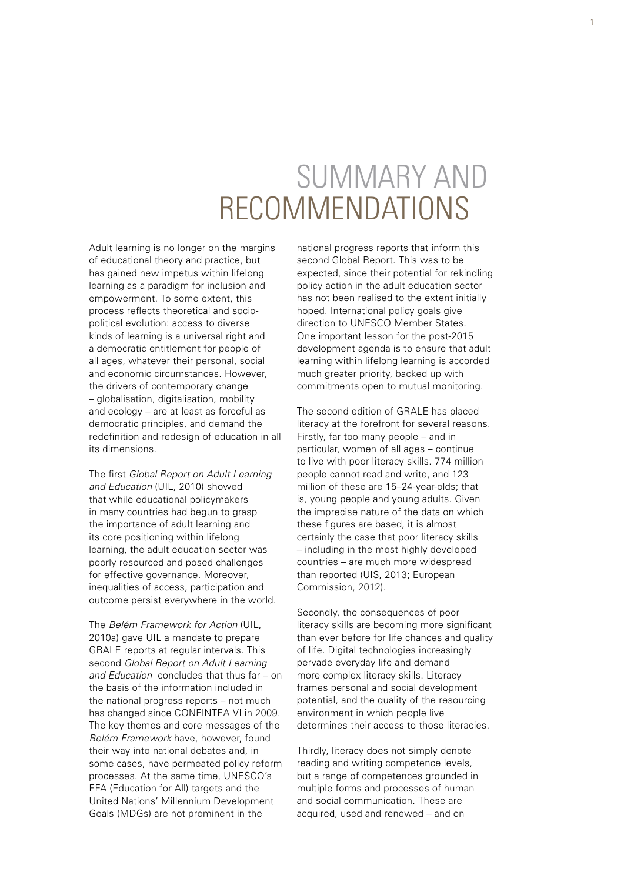# SUMMARY AND RECOMMENDATIONS

Adult learning is no longer on the margins of educational theory and practice, but has gained new impetus within lifelong learning as a paradigm for inclusion and empowerment. To some extent, this process reflects theoretical and sociopolitical evolution: access to diverse kinds of learning is a universal right and a democratic entitlement for people of all ages, whatever their personal, social and economic circumstances. However, the drivers of contemporary change – globalisation, digitalisation, mobility and ecology – are at least as forceful as democratic principles, and demand the redefinition and redesign of education in all its dimensions.

The first *Global Report on Adult Learning and Education* (UIL, 2010) showed that while educational policymakers in many countries had begun to grasp the importance of adult learning and its core positioning within lifelong learning, the adult education sector was poorly resourced and posed challenges for effective governance. Moreover, inequalities of access, participation and outcome persist everywhere in the world.

The *Belém Framework for Action* (UIL, 2010a) gave UIL a mandate to prepare GRALE reports at regular intervals. This second *Global Report on Adult Learning and Education* concludes that thus far – on the basis of the information included in the national progress reports – not much has changed since CONFINTEA VI in 2009. The key themes and core messages of the *Belém Framework* have, however, found their way into national debates and, in some cases, have permeated policy reform processes. At the same time, UNESCO's EFA (Education for All) targets and the United Nations' Millennium Development Goals (MDGs) are not prominent in the

national progress reports that inform this second Global Report. This was to be expected, since their potential for rekindling policy action in the adult education sector has not been realised to the extent initially hoped. International policy goals give direction to UNESCO Member States. One important lesson for the post-2015 development agenda is to ensure that adult learning within lifelong learning is accorded much greater priority, backed up with commitments open to mutual monitoring.

The second edition of GRALE has placed literacy at the forefront for several reasons. Firstly, far too many people – and in particular, women of all ages – continue to live with poor literacy skills. 774 million people cannot read and write, and 123 million of these are 15–24-year-olds; that is, young people and young adults. Given the imprecise nature of the data on which these figures are based, it is almost certainly the case that poor literacy skills – including in the most highly developed countries – are much more widespread than reported (UIS, 2013; European Commission, 2012).

Secondly, the consequences of poor literacy skills are becoming more significant than ever before for life chances and quality of life. Digital technologies increasingly pervade everyday life and demand more complex literacy skills. Literacy frames personal and social development potential, and the quality of the resourcing environment in which people live determines their access to those literacies.

Thirdly, literacy does not simply denote reading and writing competence levels, but a range of competences grounded in multiple forms and processes of human and social communication. These are acquired, used and renewed – and on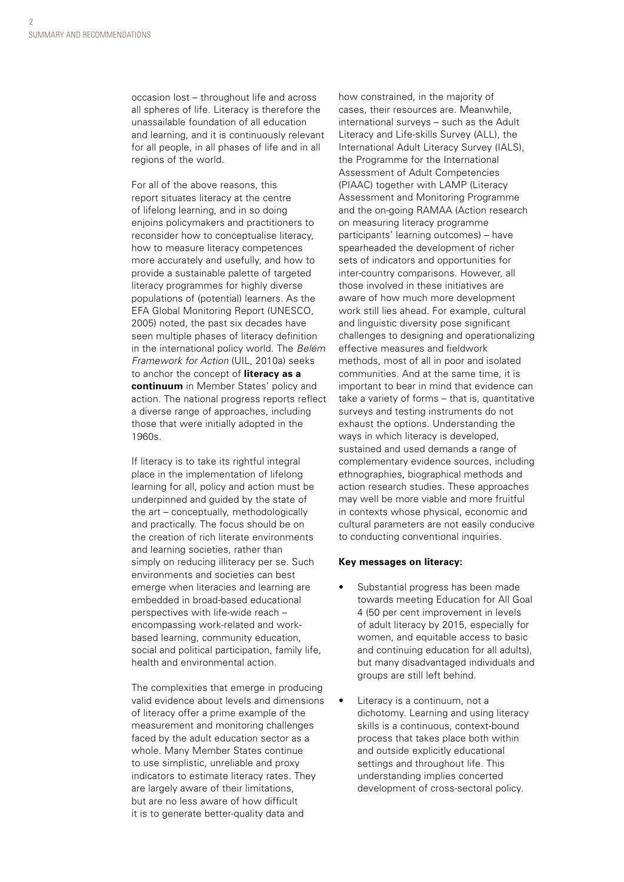occasion lost – throughout life and across all spheres of life. Literacy is therefore the unassailable foundation of all education and learning, and it is continuously relevant for all people, in all phases of life and in all regions of the world.

For all of the above reasons, this report situates literacy at the centre of lifelong learning, and in so doing enjoins policymakers and practitioners to reconsider how to conceptualise literacy, how to measure literacy competences more accurately and usefully, and how to provide a sustainable palette of targeted literacy programmes for highly diverse populations of (potential) learners. As the EFA Global Monitoring Report (UNESCO, 2005) noted, the past six decades have seen multiple phases of literacy definition in the international policy world. The *Belém Framework for Action* (UIL, 2010a) seeks to anchor the concept of **literacy as a continuum** in Member States' policy and action. The national progress reports reflect a diverse range of approaches, including those that were initially adopted in the 1960s.

If literacy is to take its rightful integral place in the implementation of lifelong learning for all, policy and action must be underpinned and guided by the state of the art – conceptually, methodologically and practically. The focus should be on the creation of rich literate environments and learning societies, rather than simply on reducing illiteracy per se. Such environments and societies can best emerge when literacies and learning are embedded in broad-based educational perspectives with life-wide reach – encompassing work-related and workbased learning, community education, social and political participation, family life, health and environmental action.

The complexities that emerge in producing valid evidence about levels and dimensions of literacy offer a prime example of the measurement and monitoring challenges faced by the adult education sector as a whole. Many Member States continue to use simplistic, unreliable and proxy indicators to estimate literacy rates. They are largely aware of their limitations, but are no less aware of how difficult it is to generate better-quality data and

how constrained, in the majority of cases, their resources are. Meanwhile, international surveys – such as the Adult Literacy and Life-skills Survey (ALL), the International Adult Literacy Survey (IALS), the Programme for the International Assessment of Adult Competencies (PIAAC) together with LAMP (Literacy Assessment and Monitoring Programme and the on-going RAMAA (Action research on measuring literacy programme participants' learning outcomes) – have spearheaded the development of richer sets of indicators and opportunities for inter-country comparisons. However, all those involved in these initiatives are aware of how much more development work still lies ahead. For example, cultural and linguistic diversity pose significant challenges to designing and operationalizing effective measures and fieldwork methods, most of all in poor and isolated communities. And at the same time, it is important to bear in mind that evidence can take a variety of forms – that is, quantitative surveys and testing instruments do not exhaust the options. Understanding the ways in which literacy is developed, sustained and used demands a range of complementary evidence sources, including ethnographies, biographical methods and action research studies. These approaches may well be more viable and more fruitful in contexts whose physical, economic and cultural parameters are not easily conducive to conducting conventional inquiries.

#### **Key messages on literacy:**

- Substantial progress has been made towards meeting Education for All Goal 4 (50 per cent improvement in levels of adult literacy by 2015, especially for women, and equitable access to basic and continuing education for all adults), but many disadvantaged individuals and groups are still left behind.
- Literacy is a continuum, not a dichotomy. Learning and using literacy skills is a continuous, context-bound process that takes place both within and outside explicitly educational settings and throughout life. This understanding implies concerted development of cross-sectoral policy.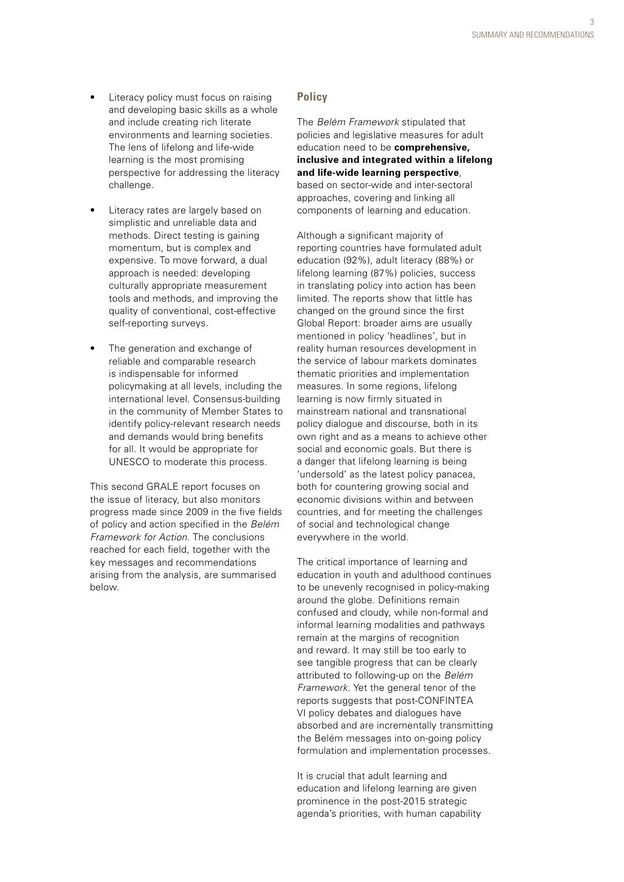- Literacy policy must focus on raising and developing basic skills as a whole and include creating rich literate environments and learning societies. The lens of lifelong and life-wide learning is the most promising perspective for addressing the literacy challenge.
- Literacy rates are largely based on simplistic and unreliable data and methods. Direct testing is gaining momentum, but is complex and expensive. To move forward, a dual approach is needed: developing culturally appropriate measurement tools and methods, and improving the quality of conventional, cost-effective self-reporting surveys.
- The generation and exchange of reliable and comparable research is indispensable for informed policymaking at all levels, including the international level. Consensus-building in the community of Member States to identify policy-relevant research needs and demands would bring benefits for all. It would be appropriate for UNESCO to moderate this process.

This second GRALE report focuses on the issue of literacy, but also monitors progress made since 2009 in the five fields of policy and action specified in the *Belém Framework for Action*. The conclusions reached for each field, together with the key messages and recommendations arising from the analysis, are summarised below.

## **Policy**

The *Belém Framework* stipulated that policies and legislative measures for adult education need to be **comprehensive, inclusive and integrated within a lifelong and life-wide learning perspective**, based on sector-wide and inter-sectoral approaches, covering and linking all components of learning and education.

Although a significant majority of reporting countries have formulated adult education (92%), adult literacy (88%) or lifelong learning (87%) policies, success in translating policy into action has been limited. The reports show that little has changed on the ground since the first Global Report: broader aims are usually mentioned in policy 'headlines', but in reality human resources development in the service of labour markets dominates thematic priorities and implementation measures. In some regions, lifelong learning is now firmly situated in mainstream national and transnational policy dialogue and discourse, both in its own right and as a means to achieve other social and economic goals. But there is a danger that lifelong learning is being 'undersold' as the latest policy panacea, both for countering growing social and economic divisions within and between countries, and for meeting the challenges of social and technological change everywhere in the world.

The critical importance of learning and education in youth and adulthood continues to be unevenly recognised in policy-making around the globe. Definitions remain confused and cloudy, while non-formal and informal learning modalities and pathways remain at the margins of recognition and reward. It may still be too early to see tangible progress that can be clearly attributed to following-up on the *Belém Framework*. Yet the general tenor of the reports suggests that post-CONFINTEA VI policy debates and dialogues have absorbed and are incrementally transmitting the Belém messages into on-going policy formulation and implementation processes.

It is crucial that adult learning and education and lifelong learning are given prominence in the post-2015 strategic agenda's priorities, with human capability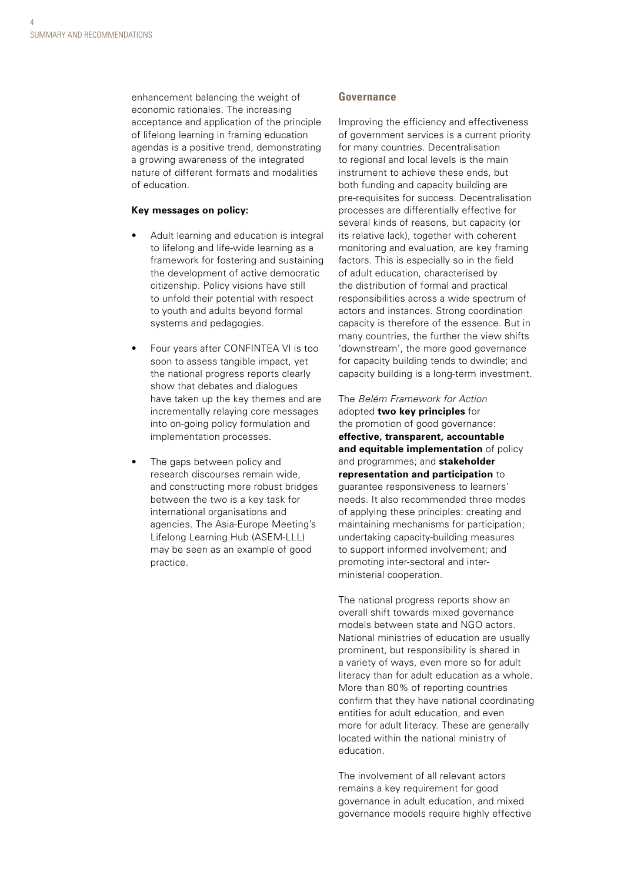enhancement balancing the weight of economic rationales. The increasing acceptance and application of the principle of lifelong learning in framing education agendas is a positive trend, demonstrating a growing awareness of the integrated nature of different formats and modalities of education.

#### **Key messages on policy:**

- Adult learning and education is integral to lifelong and life-wide learning as a framework for fostering and sustaining the development of active democratic citizenship. Policy visions have still to unfold their potential with respect to youth and adults beyond formal systems and pedagogies.
- Four years after CONFINTEA VI is too soon to assess tangible impact, yet the national progress reports clearly show that debates and dialogues have taken up the key themes and are incrementally relaying core messages into on-going policy formulation and implementation processes.
- The gaps between policy and research discourses remain wide, and constructing more robust bridges between the two is a key task for international organisations and agencies. The Asia-Europe Meeting's Lifelong Learning Hub (ASEM-LLL) may be seen as an example of good practice.

#### **Governance**

Improving the efficiency and effectiveness of government services is a current priority for many countries. Decentralisation to regional and local levels is the main instrument to achieve these ends, but both funding and capacity building are pre-requisites for success. Decentralisation processes are differentially effective for several kinds of reasons, but capacity (or its relative lack), together with coherent monitoring and evaluation, are key framing factors. This is especially so in the field of adult education, characterised by the distribution of formal and practical responsibilities across a wide spectrum of actors and instances. Strong coordination capacity is therefore of the essence. But in many countries, the further the view shifts 'downstream', the more good governance for capacity building tends to dwindle; and capacity building is a long-term investment.

The *Belém Framework for Action* adopted **two key principles** for the promotion of good governance: **effective, transparent, accountable and equitable implementation** of policy and programmes; and **stakeholder representation and participation** to guarantee responsiveness to learners' needs. It also recommended three modes of applying these principles: creating and maintaining mechanisms for participation; undertaking capacity-building measures to support informed involvement; and promoting inter-sectoral and interministerial cooperation.

The national progress reports show an overall shift towards mixed governance models between state and NGO actors. National ministries of education are usually prominent, but responsibility is shared in a variety of ways, even more so for adult literacy than for adult education as a whole. More than 80% of reporting countries confirm that they have national coordinating entities for adult education, and even more for adult literacy. These are generally located within the national ministry of education.

The involvement of all relevant actors remains a key requirement for good governance in adult education, and mixed governance models require highly effective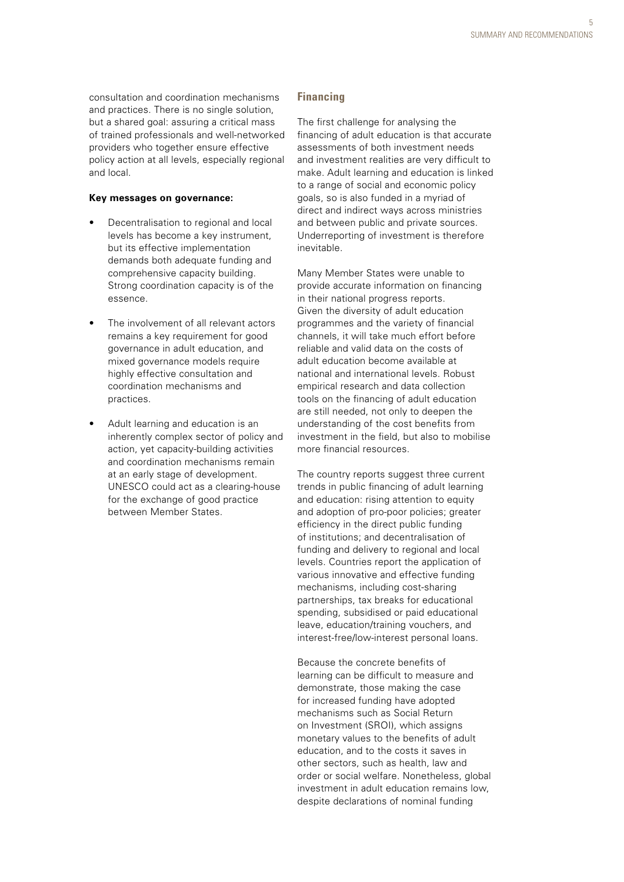consultation and coordination mechanisms and practices. There is no single solution, but a shared goal: assuring a critical mass of trained professionals and well-networked providers who together ensure effective policy action at all levels, especially regional and local.

#### **Key messages on governance:**

- Decentralisation to regional and local levels has become a key instrument, but its effective implementation demands both adequate funding and comprehensive capacity building. Strong coordination capacity is of the essence.
- The involvement of all relevant actors remains a key requirement for good governance in adult education, and mixed governance models require highly effective consultation and coordination mechanisms and practices.
- Adult learning and education is an inherently complex sector of policy and action, yet capacity-building activities and coordination mechanisms remain at an early stage of development. UNESCO could act as a clearing-house for the exchange of good practice between Member States.

## **Financing**

The first challenge for analysing the financing of adult education is that accurate assessments of both investment needs and investment realities are very difficult to make. Adult learning and education is linked to a range of social and economic policy goals, so is also funded in a myriad of direct and indirect ways across ministries and between public and private sources. Underreporting of investment is therefore inevitable.

Many Member States were unable to provide accurate information on financing in their national progress reports. Given the diversity of adult education programmes and the variety of financial channels, it will take much effort before reliable and valid data on the costs of adult education become available at national and international levels. Robust empirical research and data collection tools on the financing of adult education are still needed, not only to deepen the understanding of the cost benefits from investment in the field, but also to mobilise more financial resources.

The country reports suggest three current trends in public financing of adult learning and education: rising attention to equity and adoption of pro-poor policies; greater efficiency in the direct public funding of institutions; and decentralisation of funding and delivery to regional and local levels. Countries report the application of various innovative and effective funding mechanisms, including cost-sharing partnerships, tax breaks for educational spending, subsidised or paid educational leave, education/training vouchers, and interest-free/low-interest personal loans.

Because the concrete benefits of learning can be difficult to measure and demonstrate, those making the case for increased funding have adopted mechanisms such as Social Return on Investment (SROI), which assigns monetary values to the benefits of adult education, and to the costs it saves in other sectors, such as health, law and order or social welfare. Nonetheless, global investment in adult education remains low, despite declarations of nominal funding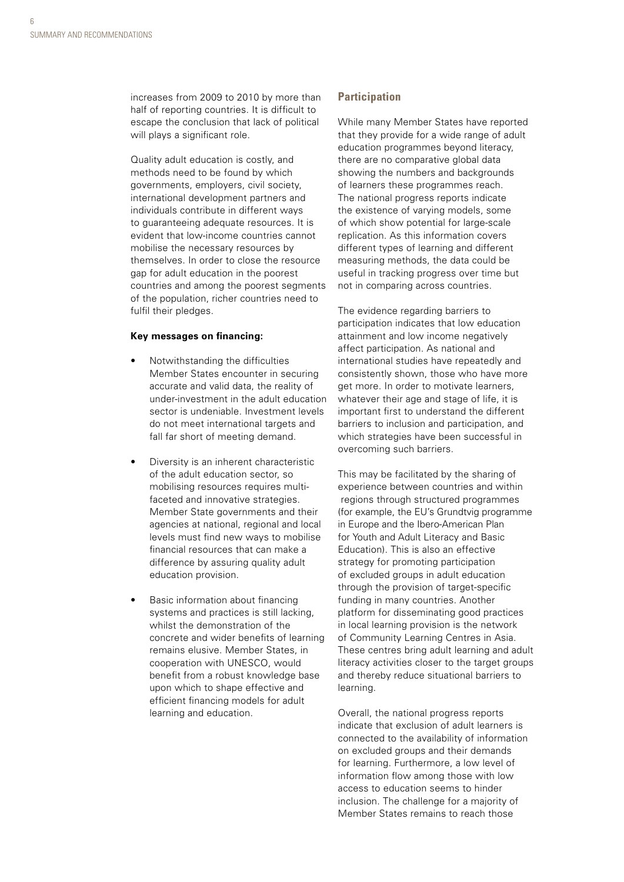increases from 2009 to 2010 by more than half of reporting countries. It is difficult to escape the conclusion that lack of political will plays a significant role.

Quality adult education is costly, and methods need to be found by which governments, employers, civil society, international development partners and individuals contribute in different ways to guaranteeing adequate resources. It is evident that low-income countries cannot mobilise the necessary resources by themselves. In order to close the resource gap for adult education in the poorest countries and among the poorest segments of the population, richer countries need to fulfil their pledges.

#### **Key messages on financing:**

- Notwithstanding the difficulties Member States encounter in securing accurate and valid data, the reality of under-investment in the adult education sector is undeniable. Investment levels do not meet international targets and fall far short of meeting demand.
- Diversity is an inherent characteristic of the adult education sector, so mobilising resources requires multifaceted and innovative strategies. Member State governments and their agencies at national, regional and local levels must find new ways to mobilise financial resources that can make a difference by assuring quality adult education provision.
- Basic information about financing systems and practices is still lacking, whilst the demonstration of the concrete and wider benefits of learning remains elusive. Member States, in cooperation with UNESCO, would benefit from a robust knowledge base upon which to shape effective and efficient financing models for adult learning and education.

#### **Participation**

While many Member States have reported that they provide for a wide range of adult education programmes beyond literacy, there are no comparative global data showing the numbers and backgrounds of learners these programmes reach. The national progress reports indicate the existence of varying models, some of which show potential for large-scale replication. As this information covers different types of learning and different measuring methods, the data could be useful in tracking progress over time but not in comparing across countries.

The evidence regarding barriers to participation indicates that low education attainment and low income negatively affect participation. As national and international studies have repeatedly and consistently shown, those who have more get more. In order to motivate learners, whatever their age and stage of life, it is important first to understand the different barriers to inclusion and participation, and which strategies have been successful in overcoming such barriers.

This may be facilitated by the sharing of experience between countries and within regions through structured programmes (for example, the EU's Grundtvig programme in Europe and the Ibero-American Plan for Youth and Adult Literacy and Basic Education). This is also an effective strategy for promoting participation of excluded groups in adult education through the provision of target-specific funding in many countries. Another platform for disseminating good practices in local learning provision is the network of Community Learning Centres in Asia. These centres bring adult learning and adult literacy activities closer to the target groups and thereby reduce situational barriers to learning.

Overall, the national progress reports indicate that exclusion of adult learners is connected to the availability of information on excluded groups and their demands for learning. Furthermore, a low level of information flow among those with low access to education seems to hinder inclusion. The challenge for a majority of Member States remains to reach those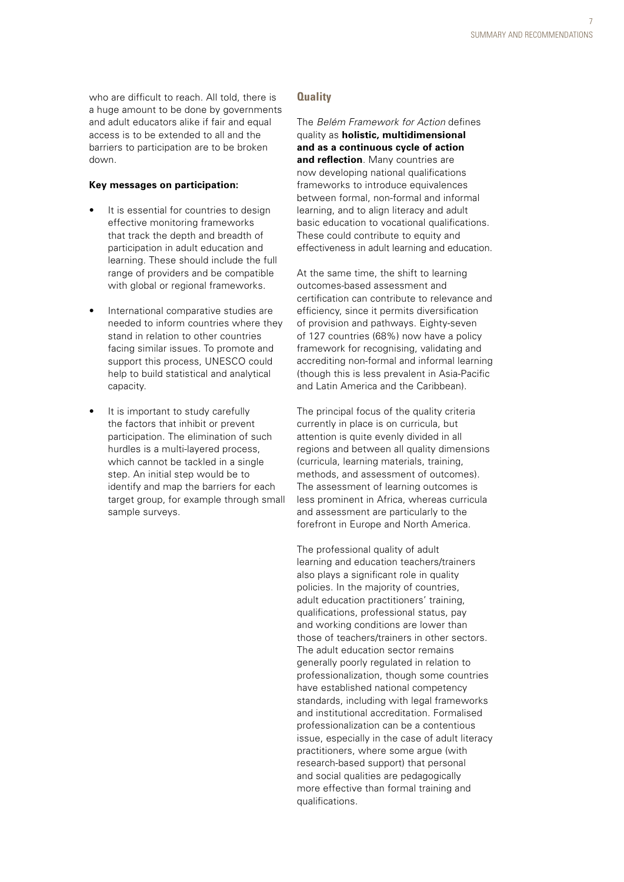who are difficult to reach. All told, there is a huge amount to be done by governments and adult educators alike if fair and equal access is to be extended to all and the barriers to participation are to be broken down.

#### **Key messages on participation:**

- It is essential for countries to design effective monitoring frameworks that track the depth and breadth of participation in adult education and learning. These should include the full range of providers and be compatible with global or regional frameworks.
- International comparative studies are needed to inform countries where they stand in relation to other countries facing similar issues. To promote and support this process, UNESCO could help to build statistical and analytical capacity.
- It is important to study carefully the factors that inhibit or prevent participation. The elimination of such hurdles is a multi-layered process, which cannot be tackled in a single step. An initial step would be to identify and map the barriers for each target group, for example through small sample surveys.

## **Quality**

The *Belém Framework for Action* defines quality as **holistic, multidimensional and as a continuous cycle of action and reflection**. Many countries are now developing national qualifications frameworks to introduce equivalences between formal, non-formal and informal learning, and to align literacy and adult basic education to vocational qualifications. These could contribute to equity and effectiveness in adult learning and education.

At the same time, the shift to learning outcomes-based assessment and certification can contribute to relevance and efficiency, since it permits diversification of provision and pathways. Eighty-seven of 127 countries (68%) now have a policy framework for recognising, validating and accrediting non-formal and informal learning (though this is less prevalent in Asia-Pacific and Latin America and the Caribbean).

The principal focus of the quality criteria currently in place is on curricula, but attention is quite evenly divided in all regions and between all quality dimensions (curricula, learning materials, training, methods, and assessment of outcomes). The assessment of learning outcomes is less prominent in Africa, whereas curricula and assessment are particularly to the forefront in Europe and North America.

The professional quality of adult learning and education teachers/trainers also plays a significant role in quality policies. In the majority of countries, adult education practitioners' training, qualifications, professional status, pay and working conditions are lower than those of teachers/trainers in other sectors. The adult education sector remains generally poorly regulated in relation to professionalization, though some countries have established national competency standards, including with legal frameworks and institutional accreditation. Formalised professionalization can be a contentious issue, especially in the case of adult literacy practitioners, where some argue (with research-based support) that personal and social qualities are pedagogically more effective than formal training and qualifications.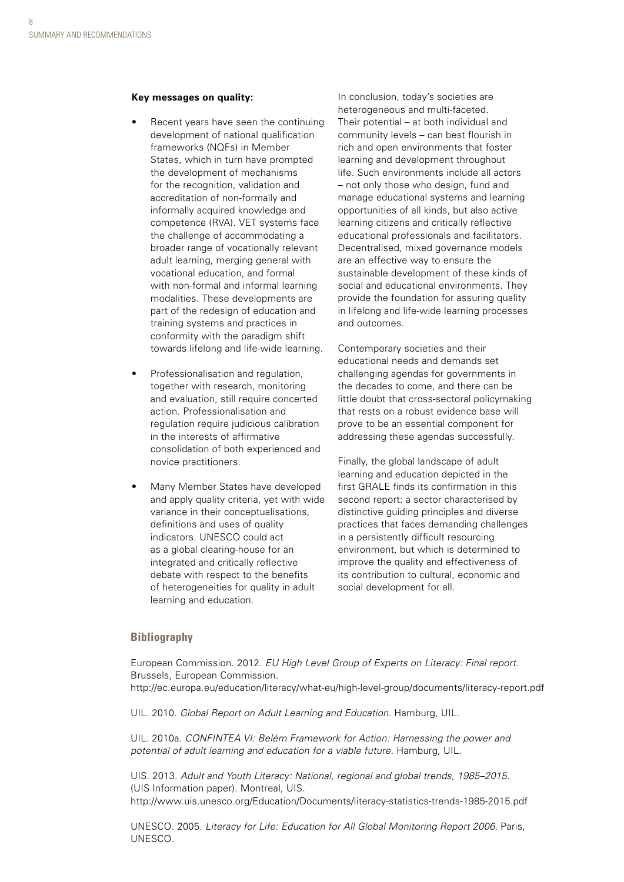#### **Key messages on quality:**

- Recent years have seen the continuing development of national qualification frameworks (NQFs) in Member States, which in turn have prompted the development of mechanisms for the recognition, validation and accreditation of non-formally and informally acquired knowledge and competence (RVA). VET systems face the challenge of accommodating a broader range of vocationally relevant adult learning, merging general with vocational education, and formal with non-formal and informal learning modalities. These developments are part of the redesign of education and training systems and practices in conformity with the paradigm shift towards lifelong and life-wide learning.
- Professionalisation and regulation, together with research, monitoring and evaluation, still require concerted action. Professionalisation and regulation require judicious calibration in the interests of affirmative consolidation of both experienced and novice practitioners.
- Many Member States have developed and apply quality criteria, yet with wide variance in their conceptualisations, definitions and uses of quality indicators. UNESCO could act as a global clearing-house for an integrated and critically reflective debate with respect to the benefits of heterogeneities for quality in adult learning and education.

In conclusion, today's societies are heterogeneous and multi-faceted. Their potential – at both individual and community levels – can best flourish in rich and open environments that foster learning and development throughout life. Such environments include all actors – not only those who design, fund and manage educational systems and learning opportunities of all kinds, but also active learning citizens and critically reflective educational professionals and facilitators. Decentralised, mixed governance models are an effective way to ensure the sustainable development of these kinds of social and educational environments. They provide the foundation for assuring quality in lifelong and life-wide learning processes and outcomes.

Contemporary societies and their educational needs and demands set challenging agendas for governments in the decades to come, and there can be little doubt that cross-sectoral policymaking that rests on a robust evidence base will prove to be an essential component for addressing these agendas successfully.

Finally, the global landscape of adult learning and education depicted in the first GRALE finds its confirmation in this second report: a sector characterised by distinctive guiding principles and diverse practices that faces demanding challenges in a persistently difficult resourcing environment, but which is determined to improve the quality and effectiveness of its contribution to cultural, economic and social development for all.

## **Bibliography**

European Commission. 2012. *EU High Level Group of Experts on Literacy: Final report*. Brussels, European Commission. <http://ec.europa.eu/education/literacy/what-eu/high-level-group/documents/literacy-report.pdf>

UIL. 2010. *Global Report on Adult Learning and Education.* Hamburg, UIL.

UIL. 2010a. *CONFINTEA VI: Belém Framework for Action: Harnessing the power and potential of adult learning and education for a viable future*. Hamburg, UIL.

UIS. 2013. *Adult and Youth Literacy: National, regional and global trends, 1985–2015.* (UIS Information paper). Montreal, UIS. <http://www.uis.unesco.org/Education/Documents/literacy-statistics-trends-1985-2015.pdf>

UNESCO. 2005. *Literacy for Life: Education for All Global Monitoring Report 2006.* Paris, UNESCO.